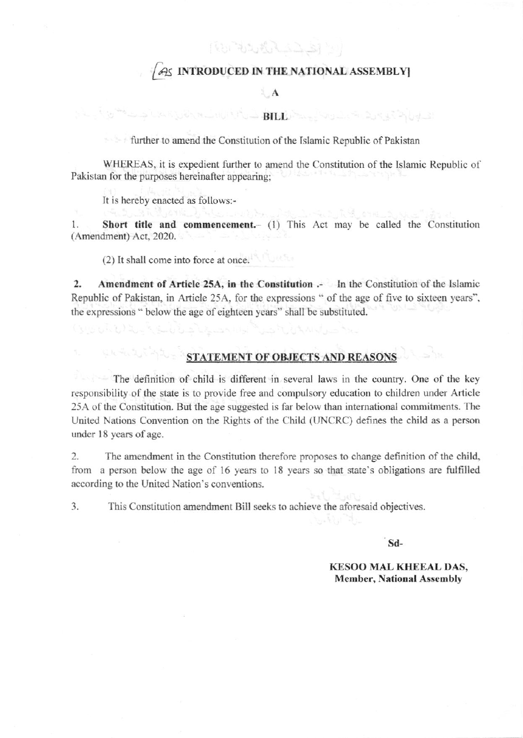**REPAIR AND ST** 

### AS INTRODUCED IN THE NATIONAL ASSEMBLY

#### $\mathbf{A}$

### المستركة والمستك الأواض المستقل المستقل المستورث المستقلة المستقلة المستقلة المستقلة المستقلة المستقلة المستقلة المستقلة المستقلة المستقلة المستقلة المستقلة المستقلة المستقلة المستقلة المستقلة المستقلة المستقلة المستقلة ا

further to amend the Constitution of the Islamic Republic of Pakistan

WHEREAS, it is expedient further to amend the Constitution of the Islamic Republic of Pakistan for the purposes hereinafter appearing:

It is hereby enacted as follows:-

(1003 : 103.) Han 정보 : 1

Short title and commencement.- (1) This Act may be called the Constitution 1. (Amendment) Act, 2020.

a basi

(2) It shall come into force at once.

 $\overline{2}$ . Amendment of Article 25A, in the Constitution .- In the Constitution of the Islamic Republic of Pakistan, in Article 25A, for the expressions " of the age of five to sixteen years". the expressions " below the age of eighteen years" shall be substituted.

# **STATEMENT OF OBJECTS AND REASONS**

The definition of child is different in several laws in the country. One of the key responsibility of the state is to provide free and compulsory education to children under Article 25A of the Constitution. But the age suggested is far below than international commitments. The United Nations Convention on the Rights of the Child (UNCRC) defines the child as a person under 18 years of age.

 $\overline{2}$ The amendment in the Constitution therefore proposes to change definition of the child, from a person below the age of 16 years to 18 years so that state's obligations are fulfilled according to the United Nation's conventions.

This Constitution amendment Bill seeks to achieve the aforesaid objectives.  $3.$ 

 $S<sub>d</sub>$ 

**KESOO MAL KHEEAL DAS, Member, National Assembly**